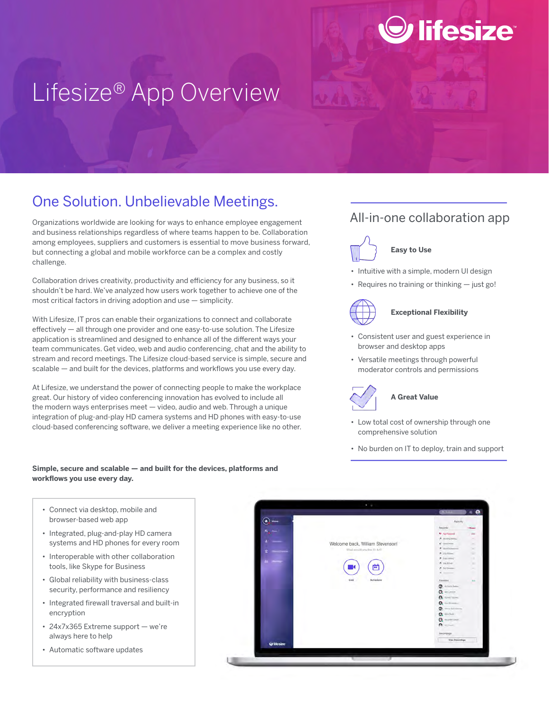# Lifesize® App Overview

### One Solution. Unbelievable Meetings.

Organizations worldwide are looking for ways to enhance employee engagement and business relationships regardless of where teams happen to be. Collaboration among employees, suppliers and customers is essential to move business forward, but connecting a global and mobile workforce can be a complex and costly challenge.

Collaboration drives creativity, productivity and efficiency for any business, so it shouldn't be hard. We've analyzed how users work together to achieve one of the most critical factors in driving adoption and use — simplicity.

With Lifesize, IT pros can enable their organizations to connect and collaborate effectively — all through one provider and one easy-to-use solution. The Lifesize application is streamlined and designed to enhance all of the different ways your team communicates. Get video, web and audio conferencing, chat and the ability to stream and record meetings. The Lifesize cloud-based service is simple, secure and scalable — and built for the devices, platforms and workflows you use every day.

At Lifesize, we understand the power of connecting people to make the workplace great. Our history of video conferencing innovation has evolved to include all the modern ways enterprises meet — video, audio and web. Through a unique integration of plug-and-play HD camera systems and HD phones with easy-to-use cloud-based conferencing software, we deliver a meeting experience like no other.

## All-in-one collaboration app

*D* lifesize®



### **Easy to Use**

- Intuitive with a simple, modern UI design
- Requires no training or thinking just go!



### **Exceptional Flexibility**

- Consistent user and guest experience in browser and desktop apps
- Versatile meetings through powerful moderator controls and permissions



### **A Great Value**

- Low total cost of ownership through one comprehensive solution
- No burden on IT to deploy, train and support

### **Simple, secure and scalable — and built for the devices, platforms and workflows you use every day.**

- Connect via desktop, mobile and browser-based web app
- Integrated, plug-and-play HD camera systems and HD phones for every room
- Interoperable with other collaboration tools, like Skype for Business
- Global reliability with business-class security, performance and resiliency
- Integrated firewall traversal and built-in encryption
- 24x7x365 Extreme support we're always here to help
- Automatic software updates